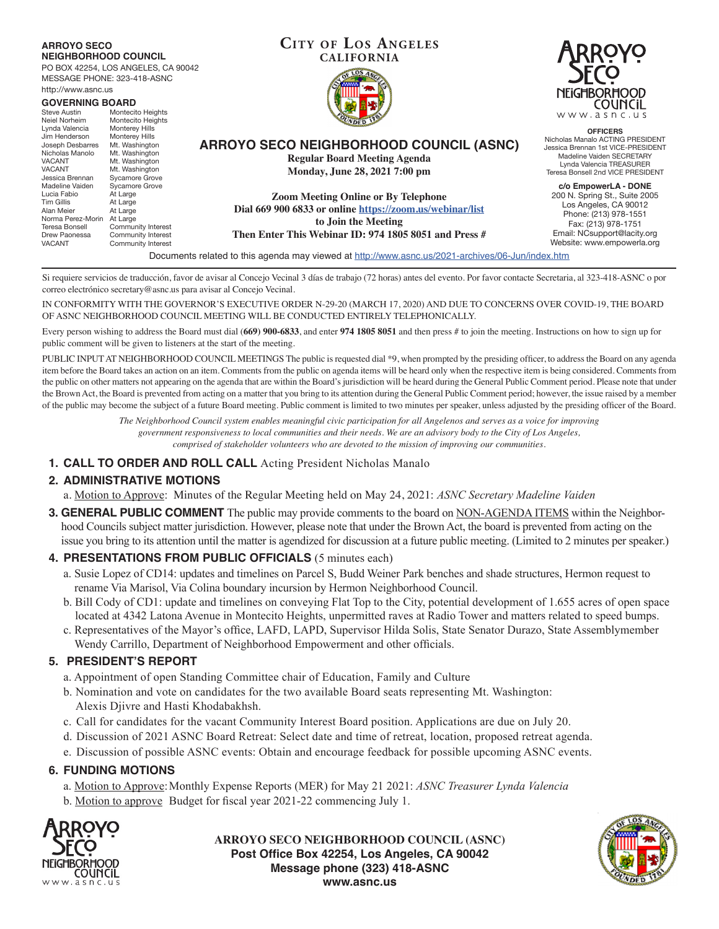#### **CITY OF LOS ANGELES CALIFORNIA ARROYO SECO NEIGHBORHOOD COUNCIL (ASNC) Regular Board Meeting Agenda Monday, June 28, 2021 7:00 pm Zoom Meeting Online or By Telephone Dial 669 900 6833 or online https://zoom.us/webinar/list to Join the Meeting Then Enter This Webinar ID: 974 1805 8051 and Press #** Documents related to this agenda may viewed at http://www.asnc.us/2021-archives/06-Jun/index.htm **ARROYO SECO NEIGHBORHOOD COUNCIL** PO BOX 42254, LOS ANGELES, CA 90042 MESSAGE PHONE: 323-418-ASNC http://www.asnc.us **GOVERNING BOARD**<br>Steve Austin Montecit Steve Austin Montecito Heights<br>
Neiel Norheim Montecito Heights Neiel Norheim Montecito Heights<br>Lynda Valencia Monterey Hills Monterey Hills<br>Monterey Hills Jim Henderson<br>Jim Henderson Monterey Hills<br>Joseph Desbarres Mt. Washington Joseph Desbarres<br>Nicholas Manolo Nicholas Manolo Mt. Washington<br>VACANT Mt. Washington VACANT Mt. Washington<br>
VACANT Mt. Washington VACANT Mt. Washington<br>Jessica Brennan Svcamore Grove Sycamore Grove<br>Sycamore Grove Madeline Vaiden Sycamor<br>Lucia Fabio At Large Lucia Fabio<br>Tim Gillis Tim Gillis At Large<br>Alan Meier At Large At Large<br>At Large Norma Perez-Morin<br>Teresa Bonsell Teresa Bonsell Community Interest<br>Drew Paonessa Community Interest Drew Paonessa Community Interest<br>VACANT Community Interest Community Interest

Si requiere servicios de traducción, favor de avisar al Concejo Vecinal 3 días de trabajo (72 horas) antes del evento. Por favor contacte Secretaria, al 323-418-ASNC o por correo electrónico secretary@asnc.us para avisar al Concejo Vecinal.

IN CONFORMITY WITH THE GOVERNOR'S EXECUTIVE ORDER N-29-20 (MARCH 17, 2020) AND DUE TO CONCERNS OVER COVID-19, THE BOARD OF ASNC NEIGHBORHOOD COUNCIL MEETING WILL BE CONDUCTED ENTIRELY TELEPHONICALLY.

Every person wishing to address the Board must dial (**669) 900-6833**, and enter **974 1805 8051** and then press # to join the meeting. Instructions on how to sign up for public comment will be given to listeners at the start of the meeting.

PUBLIC INPUT AT NEIGHBORHOOD COUNCIL MEETINGS The public is requested dial \*9, when prompted by the presiding officer, to address the Board on any agenda item before the Board takes an action on an item. Comments from the public on agenda items will be heard only when the respective item is being considered. Comments from the public on other matters not appearing on the agenda that are within the Board's jurisdiction will be heard during the General Public Comment period. Please note that under the Brown Act, the Board is prevented from acting on a matter that you bring to its attention during the General Public Comment period; however, the issue raised by a member of the public may become the subject of a future Board meeting. Public comment is limited to two minutes per speaker, unless adjusted by the presiding officer of the Board.

> *The Neighborhood Council system enables meaningful civic participation for all Angelenos and serves as a voice for improving government responsiveness to local communities and their needs. We are an advisory body to the City of Los Angeles, comprised of stakeholder volunteers who are devoted to the mission of improving our communities.*

### **1. CALL TO ORDER AND ROLL CALL** Acting President Nicholas Manalo

# **2. ADMINISTRATIVE MOTIONS**

a. Motion to Approve: Minutes of the Regular Meeting held on May 24, 2021: *ASNC Secretary Madeline Vaiden*

**3. GENERAL PUBLIC COMMENT** The public may provide comments to the board on NON-AGENDA ITEMS within the Neighborhood Councils subject matter jurisdiction. However, please note that under the Brown Act, the board is prevented from acting on the issue you bring to its attention until the matter is agendized for discussion at a future public meeting. (Limited to 2 minutes per speaker.)

### **4. PRESENTATIONS FROM PUBLIC OFFICIALS** (5 minutes each)

- a. Susie Lopez of CD14: updates and timelines on Parcel S, Budd Weiner Park benches and shade structures, Hermon request to rename Via Marisol, Via Colina boundary incursion by Hermon Neighborhood Council.
- b. Bill Cody of CD1: update and timelines on conveying Flat Top to the City, potential development of 1.655 acres of open space located at 4342 Latona Avenue in Montecito Heights, unpermitted raves at Radio Tower and matters related to speed bumps.
- c. Representatives of the Mayor's office, LAFD, LAPD, Supervisor Hilda Solis, State Senator Durazo, State Assemblymember Wendy Carrillo, Department of Neighborhood Empowerment and other officials.

# **5. PRESIDENT'S REPORT**

- a. Appointment of open Standing Committee chair of Education, Family and Culture
- b. Nomination and vote on candidates for the two available Board seats representing Mt. Washington: Alexis Djivre and Hasti Khodabakhsh.
- c. Call for candidates for the vacant Community Interest Board position. Applications are due on July 20.
- d. Discussion of 2021 ASNC Board Retreat: Select date and time of retreat, location, proposed retreat agenda.
- e. Discussion of possible ASNC events: Obtain and encourage feedback for possible upcoming ASNC events.

### **6. FUNDING MOTIONS**

- a. Motion to Approve: Monthly Expense Reports (MER) for May 21 2021: *ASNC Treasurer Lynda Valencia*
- b. Motion to approve Budget for fiscal year 2021-22 commencing July 1.



**ARROYO SECO NEIGHBORHOOD COUNCIL (ASNC) Post Office Box 42254, Los Angeles, CA 90042 Message phone (323) 418-ASNC www.asnc.us**





**OFFICERS** Nicholas Manalo ACTING PRESIDENT Jessica Brennan 1st VICE-PRESIDENT Madeline Vaiden SECRETARY Lynda Valencia TREASURER Teresa Bonsell 2nd VICE PRESIDENT

**c/o EmpowerLA - DONE** 200 N. Spring St., Suite 2005 Los Angeles, CA 90012 Phone: (213) 978-1551 Fax: (213) 978-1751 Email: NCsupport@lacity.org Website: www.empowerla.org